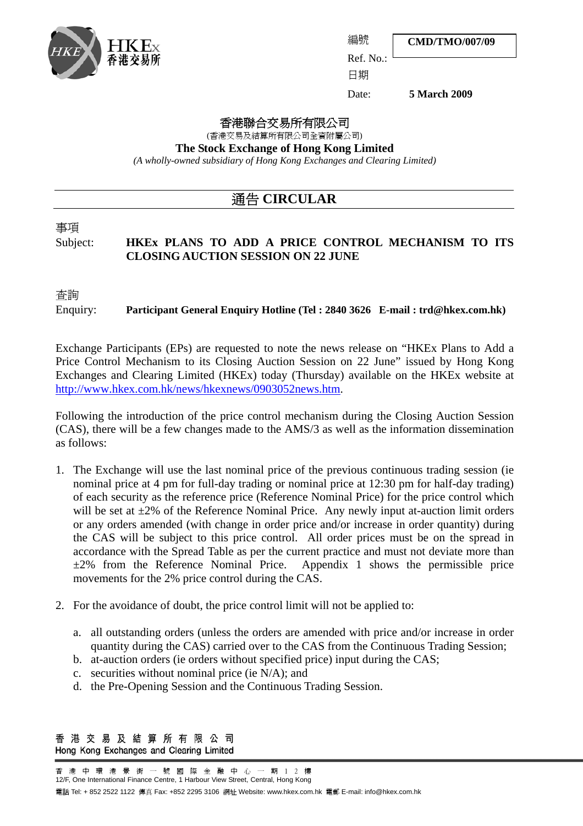

**CMD/TMO/007/09**

Ref. No.: 日期

編號

Date: **5 March 2009**

#### 香港聯合交易所有限公司

(香港交易及結算所有限公司全資附屬公司)

**The Stock Exchange of Hong Kong Limited** 

*(A wholly-owned subsidiary of Hong Kong Exchanges and Clearing Limited)* 

### 通告 **CIRCULAR**

# 事項

### Subject: **HKEx PLANS TO ADD A PRICE CONTROL MECHANISM TO ITS CLOSING AUCTION SESSION ON 22 JUNE**

查詢

Enquiry: **Participant General Enquiry Hotline (Tel : 2840 3626 E-mail : trd@hkex.com.hk)**

Exchange Participants (EPs) are requested to note the news release on "HKEx Plans to Add a Price Control Mechanism to its Closing Auction Session on 22 June" issued by Hong Kong Exchanges and Clearing Limited (HKEx) today (Thursday) available on the HKEx website at http://www.hkex.com.hk/news/hkexnews/0903052news.htm.

Following the introduction of the price control mechanism during the Closing Auction Session (CAS), there will be a few changes made to the AMS/3 as well as the information dissemination as follows:

- 1. The Exchange will use the last nominal price of the previous continuous trading session (ie nominal price at 4 pm for full-day trading or nominal price at 12:30 pm for half-day trading) of each security as the reference price (Reference Nominal Price) for the price control which will be set at  $\pm 2\%$  of the Reference Nominal Price. Any newly input at-auction limit orders or any orders amended (with change in order price and/or increase in order quantity) during the CAS will be subject to this price control. All order prices must be on the spread in accordance with the Spread Table as per the current practice and must not deviate more than  $\pm 2\%$  from the Reference Nominal Price. Appendix 1 shows the permissible price movements for the 2% price control during the CAS.
- 2. For the avoidance of doubt, the price control limit will not be applied to:
	- a. all outstanding orders (unless the orders are amended with price and/or increase in order quantity during the CAS) carried over to the CAS from the Continuous Trading Session;
	- b. at-auction orders (ie orders without specified price) input during the CAS;
	- c. securities without nominal price (ie N/A); and
	- d. the Pre-Opening Session and the Continuous Trading Session.

香港交易及結算所有限公司 Hong Kong Exchanges and Clearing Limited